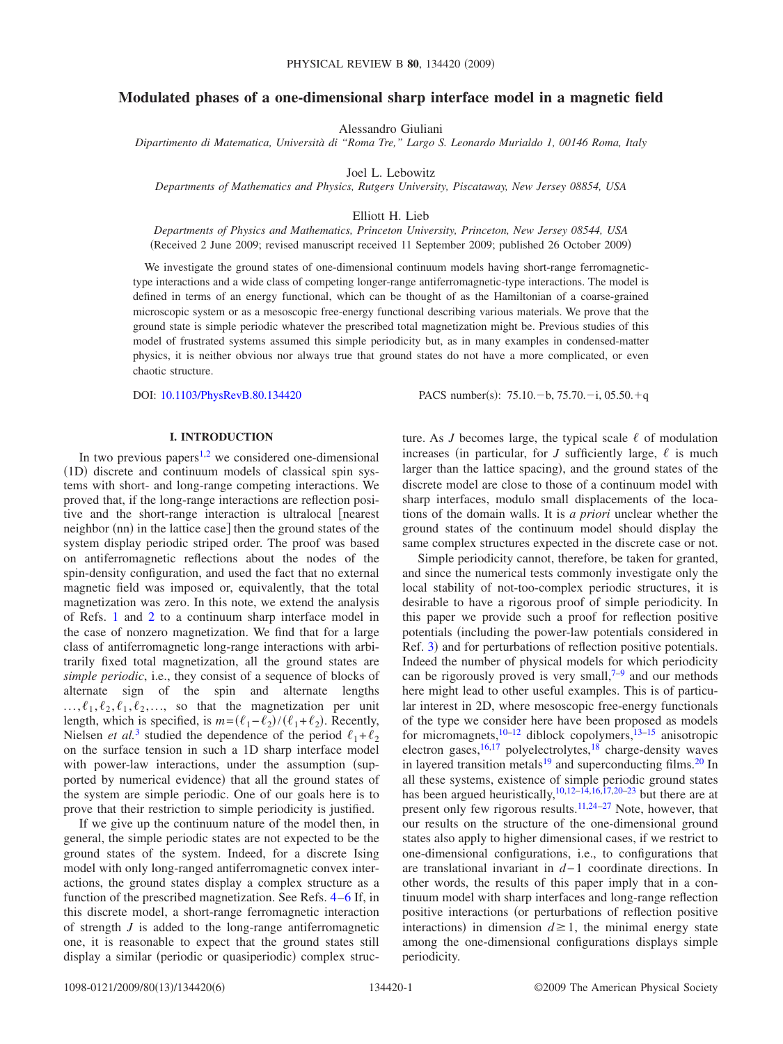## **Modulated phases of a one-dimensional sharp interface model in a magnetic field**

Alessandro Giuliani

*Dipartimento di Matematica, Università di "Roma Tre," Largo S. Leonardo Murialdo 1, 00146 Roma, Italy*

Joel L. Lebowitz

*Departments of Mathematics and Physics, Rutgers University, Piscataway, New Jersey 08854, USA*

Elliott H. Lieb

*Departments of Physics and Mathematics, Princeton University, Princeton, New Jersey 08544, USA* Received 2 June 2009; revised manuscript received 11 September 2009; published 26 October 2009-

We investigate the ground states of one-dimensional continuum models having short-range ferromagnetictype interactions and a wide class of competing longer-range antiferromagnetic-type interactions. The model is defined in terms of an energy functional, which can be thought of as the Hamiltonian of a coarse-grained microscopic system or as a mesoscopic free-energy functional describing various materials. We prove that the ground state is simple periodic whatever the prescribed total magnetization might be. Previous studies of this model of frustrated systems assumed this simple periodicity but, as in many examples in condensed-matter physics, it is neither obvious nor always true that ground states do not have a more complicated, or even chaotic structure.

DOI: [10.1103/PhysRevB.80.134420](http://dx.doi.org/10.1103/PhysRevB.80.134420)

 $: 75.10, -b, 75.70, -i, 05.50, +q$ 

### **I. INTRODUCTION**

In two previous papers<sup>[1](#page-5-0)[,2](#page-5-1)</sup> we considered one-dimensional (1D) discrete and continuum models of classical spin systems with short- and long-range competing interactions. We proved that, if the long-range interactions are reflection positive and the short-range interaction is ultralocal [nearest] neighbor (nn) in the lattice case] then the ground states of the system display periodic striped order. The proof was based on antiferromagnetic reflections about the nodes of the spin-density configuration, and used the fact that no external magnetic field was imposed or, equivalently, that the total magnetization was zero. In this note, we extend the analysis of Refs. [1](#page-5-0) and [2](#page-5-1) to a continuum sharp interface model in the case of nonzero magnetization. We find that for a large class of antiferromagnetic long-range interactions with arbitrarily fixed total magnetization, all the ground states are *simple periodic*, i.e., they consist of a sequence of blocks of alternate sign of the spin and alternate lengths  $..., \ell_1, \ell_2, \ell_1, \ell_2, ...,$  so that the magnetization per unit length, which is specified, is  $m = (\ell_1 - \ell_2) / (\ell_1 + \ell_2)$ . Recently, Nielsen *et al.*<sup>[3](#page-5-2)</sup> studied the dependence of the period  $\ell_1 + \ell_2$ on the surface tension in such a 1D sharp interface model with power-law interactions, under the assumption (supported by numerical evidence) that all the ground states of the system are simple periodic. One of our goals here is to prove that their restriction to simple periodicity is justified.

If we give up the continuum nature of the model then, in general, the simple periodic states are not expected to be the ground states of the system. Indeed, for a discrete Ising model with only long-ranged antiferromagnetic convex interactions, the ground states display a complex structure as a function of the prescribed magnetization. See Refs. [4](#page-5-3)[–6](#page-5-4) If, in this discrete model, a short-range ferromagnetic interaction of strength *J* is added to the long-range antiferromagnetic one, it is reasonable to expect that the ground states still display a similar (periodic or quasiperiodic) complex structure. As *J* becomes large, the typical scale  $\ell$  of modulation increases (in particular, for *J* sufficiently large,  $\ell$  is much larger than the lattice spacing), and the ground states of the discrete model are close to those of a continuum model with sharp interfaces, modulo small displacements of the locations of the domain walls. It is *a priori* unclear whether the ground states of the continuum model should display the same complex structures expected in the discrete case or not.

Simple periodicity cannot, therefore, be taken for granted, and since the numerical tests commonly investigate only the local stability of not-too-complex periodic structures, it is desirable to have a rigorous proof of simple periodicity. In this paper we provide such a proof for reflection positive potentials (including the power-law potentials considered in Ref. [3](#page-5-2)) and for perturbations of reflection positive potentials. Indeed the number of physical models for which periodicity can be rigorously proved is very small, $7-9$  and our methods here might lead to other useful examples. This is of particular interest in 2D, where mesoscopic free-energy functionals of the type we consider here have been proposed as models for micromagnets,<sup>[10–](#page-5-7)[12](#page-5-8)</sup> diblock copolymers,<sup>13[–15](#page-5-10)</sup> anisotropic electron gases, $^{16,17}$  $^{16,17}$  $^{16,17}$  polyelectrolytes, $^{18}$  charge-density waves in layered transition metals $19$  and superconducting films. $20$  In all these systems, existence of simple periodic ground states has been argued heuristically,<sup>10,[12–](#page-5-8)[14,](#page-5-16)[16,](#page-5-11)[17,](#page-5-12)[20](#page-5-15)[–23](#page-5-17)</sup> but there are at present only few rigorous results.[11,](#page-5-18)[24](#page-5-19)[–27](#page-5-20) Note, however, that our results on the structure of the one-dimensional ground states also apply to higher dimensional cases, if we restrict to one-dimensional configurations, i.e., to configurations that are translational invariant in *d*− 1 coordinate directions. In other words, the results of this paper imply that in a continuum model with sharp interfaces and long-range reflection positive interactions (or perturbations of reflection positive interactions) in dimension  $d \ge 1$ , the minimal energy state among the one-dimensional configurations displays simple periodicity.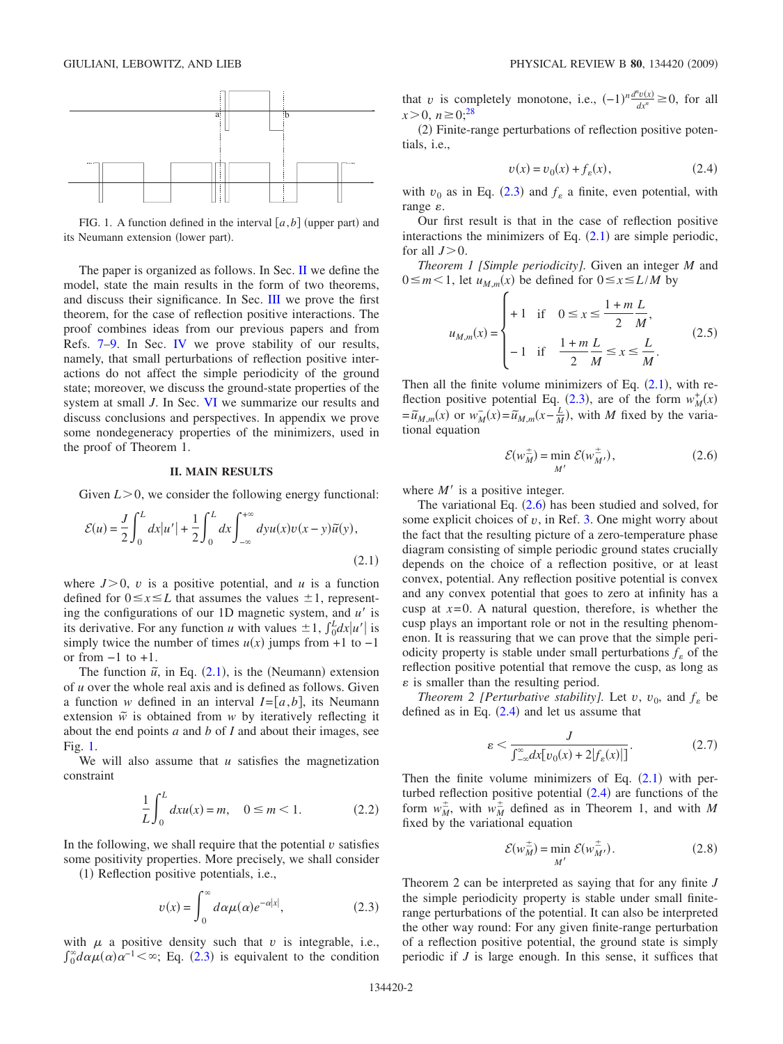<span id="page-1-2"></span>

FIG. 1. A function defined in the interval  $[a,b]$  (upper part) and its Neumann extension (lower part).

The paper is organized as follows. In Sec. [II](#page-1-0) we define the model, state the main results in the form of two theorems, and discuss their significance. In Sec. [III](#page-2-0) we prove the first theorem, for the case of reflection positive interactions. The proof combines ideas from our previous papers and from Refs. [7–](#page-5-5)[9.](#page-5-6) In Sec. [IV](#page-3-0) we prove stability of our results, namely, that small perturbations of reflection positive interactions do not affect the simple periodicity of the ground state; moreover, we discuss the ground-state properties of the system at small *J*. In Sec. [VI](#page-4-0) we summarize our results and discuss conclusions and perspectives. In appendix we prove some nondegeneracy properties of the minimizers, used in the proof of Theorem 1.

### **II. MAIN RESULTS**

<span id="page-1-0"></span>Given  $L > 0$ , we consider the following energy functional:

<span id="page-1-1"></span>
$$
\mathcal{E}(u) = \frac{J}{2} \int_0^L dx |u'| + \frac{1}{2} \int_0^L dx \int_{-\infty}^{+\infty} dy u(x) v(x - y) \tilde{u}(y),
$$
\n(2.1)

where  $J>0$ , *v* is a positive potential, and *u* is a function defined for  $0 \le x \le L$  that assumes the values  $\pm 1$ , representing the configurations of our 1D magnetic system, and *u'* is its derivative. For any function *u* with values  $\pm 1$ ,  $\int_0^L dx |u'|$  is simply twice the number of times  $u(x)$  jumps from +1 to -1 or from  $-1$  to  $+1$ .

The function  $\tilde{u}$ , in Eq. ([2.1](#page-1-1)), is the (Neumann) extension of *u* over the whole real axis and is defined as follows. Given a function *w* defined in an interval  $I = [a, b]$ , its Neumann extension  $\tilde{w}$  is obtained from *w* by iteratively reflecting it about the end points *a* and *b* of *I* and about their images, see Fig. [1.](#page-1-2)

<span id="page-1-6"></span>We will also assume that *u* satisfies the magnetization constraint

$$
\frac{1}{L} \int_0^L dx u(x) = m, \quad 0 \le m < 1.
$$
 (2.2)

In the following, we shall require that the potential  $\nu$  satisfies some positivity properties. More precisely, we shall consider

<span id="page-1-3"></span>(1) Reflection positive potentials, i.e.,

$$
v(x) = \int_0^\infty d\alpha \mu(\alpha) e^{-\alpha|x|},
$$
 (2.3)

with  $\mu$  a positive density such that  $\nu$  is integrable, i.e.,  $\int_0^{\infty} d\alpha \mu(\alpha) \alpha^{-1} < \infty$ ; Eq. ([2.3](#page-1-3)) is equivalent to the condition

that *v* is completely monotone, i.e.,  $(-1)^n \frac{d^n v(x)}{dx^n} \ge 0$ , for all  $x > 0$ ,  $n \ge 0$ ;<sup>28</sup>

(2) Finite-range perturbations of reflection positive potentials, i.e.,

$$
v(x) = v_0(x) + f_\varepsilon(x),\tag{2.4}
$$

<span id="page-1-5"></span>with  $v_0$  as in Eq. ([2.3](#page-1-3)) and  $f_{\varepsilon}$  a finite, even potential, with range  $\varepsilon$ .

Our first result is that in the case of reflection positive interactions the minimizers of Eq.  $(2.1)$  $(2.1)$  $(2.1)$  are simple periodic, for all  $J>0$ .

*Theorem 1 [Simple periodicity].* Given an integer *M* and  $0 \le m < 1$ , let  $u_{M,m}(x)$  be defined for  $0 \le x \le L/M$  by

$$
u_{M,m}(x) = \begin{cases} +1 & \text{if } 0 \le x \le \frac{1+m}{2} \frac{L}{M}, \\ -1 & \text{if } \frac{1+m}{2} \frac{L}{M} \le x \le \frac{L}{M}. \end{cases}
$$
(2.5)

Then all the finite volume minimizers of Eq.  $(2.1)$  $(2.1)$  $(2.1)$ , with re-flection positive potential Eq. ([2.3](#page-1-3)), are of the form  $w_M^+(x) = \tilde{u}_{M,m}(x)$  or  $w_M^-(x) = \tilde{u}_{M,m}(x - \frac{L}{M})$ , with M fixed by the variational equation

$$
\mathcal{E}(w_M^{\pm}) = \min_{M'} \mathcal{E}(w_M^{\pm}),
$$
\n(2.6)

<span id="page-1-4"></span>where  $M'$  is a positive integer.

The variational Eq.  $(2.6)$  $(2.6)$  $(2.6)$  has been studied and solved, for some explicit choices of  $v$ , in Ref. [3.](#page-5-2) One might worry about the fact that the resulting picture of a zero-temperature phase diagram consisting of simple periodic ground states crucially depends on the choice of a reflection positive, or at least convex, potential. Any reflection positive potential is convex and any convex potential that goes to zero at infinity has a cusp at  $x=0$ . A natural question, therefore, is whether the cusp plays an important role or not in the resulting phenomenon. It is reassuring that we can prove that the simple periodicity property is stable under small perturbations  $f_{\varepsilon}$  of the reflection positive potential that remove the cusp, as long as  $\varepsilon$  is smaller than the resulting period.

*Theorem 2 [Perturbative stability].* Let *v*, *v*<sub>0</sub>, and  $f_{\varepsilon}$  be defined as in Eq.  $(2.4)$  $(2.4)$  $(2.4)$  and let us assume that

$$
\varepsilon < \frac{J}{\int_{-\infty}^{\infty} dx \big[ v_0(x) + 2 \big| f_\varepsilon(x) \big| \big]}.\tag{2.7}
$$

Then the finite volume minimizers of Eq.  $(2.1)$  $(2.1)$  $(2.1)$  with perturbed reflection positive potential  $(2.4)$  $(2.4)$  $(2.4)$  are functions of the form  $w_M^{\pm}$ , with  $w_M^{\pm}$  defined as in Theorem 1, and with *M* fixed by the variational equation

$$
\mathcal{E}(w_M^{\pm}) = \min_{M'} \mathcal{E}(w_{M'}^{\pm}).
$$
\n(2.8)

Theorem 2 can be interpreted as saying that for any finite *J* the simple periodicity property is stable under small finiterange perturbations of the potential. It can also be interpreted the other way round: For any given finite-range perturbation of a reflection positive potential, the ground state is simply periodic if *J* is large enough. In this sense, it suffices that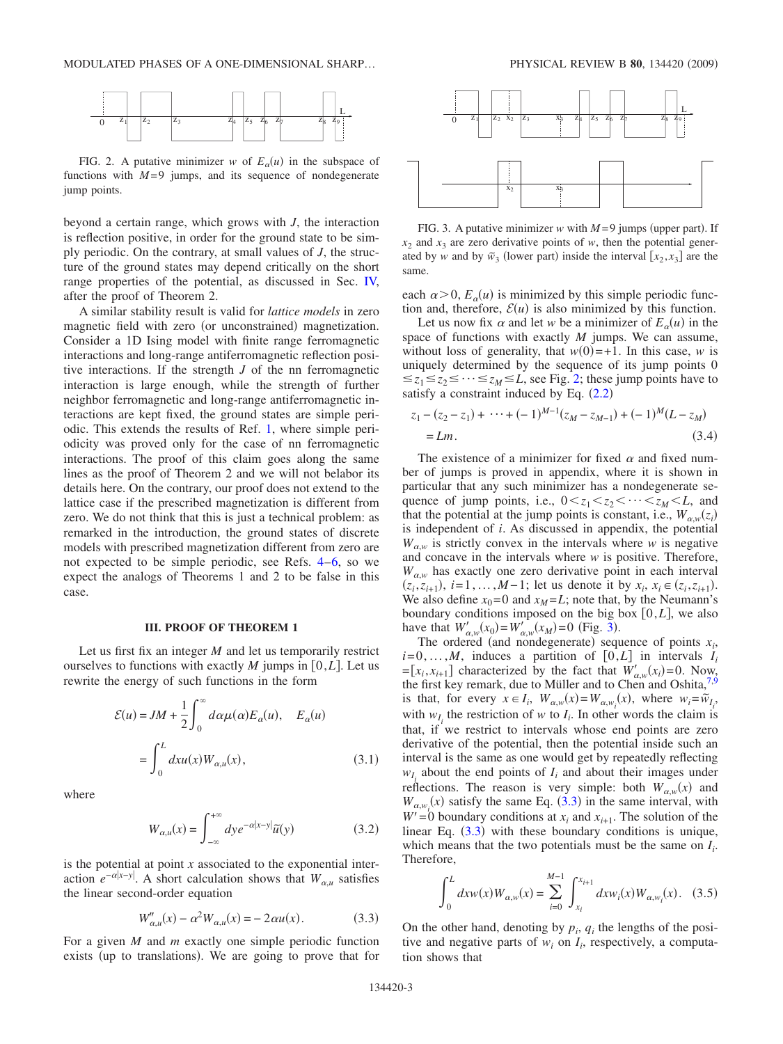<span id="page-2-1"></span>

FIG. 2. A putative minimizer *w* of  $E_\alpha(u)$  in the subspace of functions with  $M=9$  jumps, and its sequence of nondegenerate jump points.

beyond a certain range, which grows with *J*, the interaction is reflection positive, in order for the ground state to be simply periodic. On the contrary, at small values of *J*, the structure of the ground states may depend critically on the short range properties of the potential, as discussed in Sec. [IV,](#page-3-0) after the proof of Theorem 2.

A similar stability result is valid for *lattice models* in zero magnetic field with zero (or unconstrained) magnetization. Consider a 1D Ising model with finite range ferromagnetic interactions and long-range antiferromagnetic reflection positive interactions. If the strength *J* of the nn ferromagnetic interaction is large enough, while the strength of further neighbor ferromagnetic and long-range antiferromagnetic interactions are kept fixed, the ground states are simple periodic. This extends the results of Ref. [1,](#page-5-0) where simple periodicity was proved only for the case of nn ferromagnetic interactions. The proof of this claim goes along the same lines as the proof of Theorem 2 and we will not belabor its details here. On the contrary, our proof does not extend to the lattice case if the prescribed magnetization is different from zero. We do not think that this is just a technical problem: as remarked in the introduction, the ground states of discrete models with prescribed magnetization different from zero are not expected to be simple periodic, see Refs. [4–](#page-5-3)[6,](#page-5-4) so we expect the analogs of Theorems 1 and 2 to be false in this case.

#### **III. PROOF OF THEOREM 1**

<span id="page-2-0"></span>Let us first fix an integer *M* and let us temporarily restrict ourselves to functions with exactly  $M$  jumps in [0, $L$ ]. Let us rewrite the energy of such functions in the form

$$
\mathcal{E}(u) = JM + \frac{1}{2} \int_0^\infty d\alpha \mu(\alpha) E_\alpha(u), \quad E_\alpha(u)
$$

$$
= \int_0^L dx u(x) W_{\alpha,u}(x), \tag{3.1}
$$

where

$$
W_{\alpha,u}(x) = \int_{-\infty}^{+\infty} dy e^{-\alpha|x-y|} \tilde{u}(y)
$$
 (3.2)

is the potential at point *x* associated to the exponential interaction  $e^{-\alpha|x-y|}$ . A short calculation shows that  $W_{\alpha,\mu}$  satisfies the linear second-order equation

$$
W''_{\alpha,u}(x) - \alpha^2 W_{\alpha,u}(x) = -2\alpha u(x).
$$
 (3.3)

<span id="page-2-3"></span>For a given *M* and *m* exactly one simple periodic function exists (up to translations). We are going to prove that for

<span id="page-2-2"></span>

FIG. 3. A putative minimizer  $w$  with  $M=9$  jumps (upper part). If  $x_2$  and  $x_3$  are zero derivative points of *w*, then the potential generated by *w* and by  $\tilde{w}_3$  (lower part) inside the interval  $[x_2, x_3]$  are the same.

each  $\alpha$  > 0,  $E_\alpha(u)$  is minimized by this simple periodic function and, therefore,  $\mathcal{E}(u)$  is also minimized by this function.

Let us now fix  $\alpha$  and let  $w$  be a minimizer of  $E_\alpha(u)$  in the space of functions with exactly *M* jumps. We can assume, without loss of generality, that  $w(0) = +1$ . In this case, *w* is uniquely determined by the sequence of its jump points 0  $\leq z_1 \leq z_2 \leq \cdots \leq z_M \leq L$ , see Fig. [2;](#page-2-1) these jump points have to satisfy a constraint induced by Eq.  $(2.2)$  $(2.2)$  $(2.2)$ 

<span id="page-2-4"></span>
$$
z_1 - (z_2 - z_1) + \dots + (-1)^{M-1} (z_M - z_{M-1}) + (-1)^M (L - z_M)
$$
  
= Lm. (3.4)

The existence of a minimizer for fixed  $\alpha$  and fixed number of jumps is proved in appendix, where it is shown in particular that any such minimizer has a nondegenerate sequence of jump points, i.e.,  $0 \lt z_1 \lt z_2 \lt \cdots \lt z_M \lt L$ , and that the potential at the jump points is constant, i.e.,  $W_{\alpha,w}(z_i)$ is independent of *i*. As discussed in appendix, the potential  $W_{\alpha w}$  is strictly convex in the intervals where *w* is negative and concave in the intervals where *w* is positive. Therefore,  $W_{\alpha,w}$  has exactly one zero derivative point in each interval  $(z_i, z_{i+1}), i = 1, \ldots, M-1$ ; let us denote it by  $x_i, x_i \in (z_i, z_{i+1}).$ We also define  $x_0 = 0$  and  $x_M = L$ ; note that, by the Neumann's boundary conditions imposed on the big box  $[0,L]$ , we also have that  $W'_{\alpha,w}(x_0) = W'_{\alpha,w}(x_M) = 0$  (Fig. [3](#page-2-2)).

The ordered (and nondegenerate) sequence of points  $x_i$ ,  $i=0,\ldots,M$ , induces a partition of  $[0,L]$  in intervals  $I_i$  $=[x_i, x_{i+1}]$  characterized by the fact that  $W'_{\alpha, w}(x_i) = 0$ . Now, the first key remark, due to Müller and to Chen and Oshita, $7.9$  $7.9$ is that, for every  $x \in I_i$ ,  $W_{\alpha,w}(x) = W_{\alpha,w_i}(x)$ , where  $w_i = \tilde{w}_{I_i}$ , with  $w_I$  the restriction of *w* to  $I_i$ . In other words the claim is that, if we restrict to intervals whose end points are zero derivative of the potential, then the potential inside such an interval is the same as one would get by repeatedly reflecting  $w_{I_i}$  about the end points of  $I_i$  and about their images under reflections. The reason is very simple: both  $W_{\alpha,w}(x)$  and  $W_{\alpha,w_i}(x)$  satisfy the same Eq. ([3.3](#page-2-3)) in the same interval, with  $W' = 0$  boundary conditions at  $x_i$  and  $x_{i+1}$ . The solution of the linear Eq.  $(3.3)$  $(3.3)$  $(3.3)$  with these boundary conditions is unique, which means that the two potentials must be the same on  $I_i$ . Therefore,

$$
\int_0^L dx w(x) W_{\alpha,w}(x) = \sum_{i=0}^{M-1} \int_{x_i}^{x_{i+1}} dx w_i(x) W_{\alpha,w_i}(x).
$$
 (3.5)

On the other hand, denoting by  $p_i$ ,  $q_i$  the lengths of the positive and negative parts of  $w_i$  on  $I_i$ , respectively, a computation shows that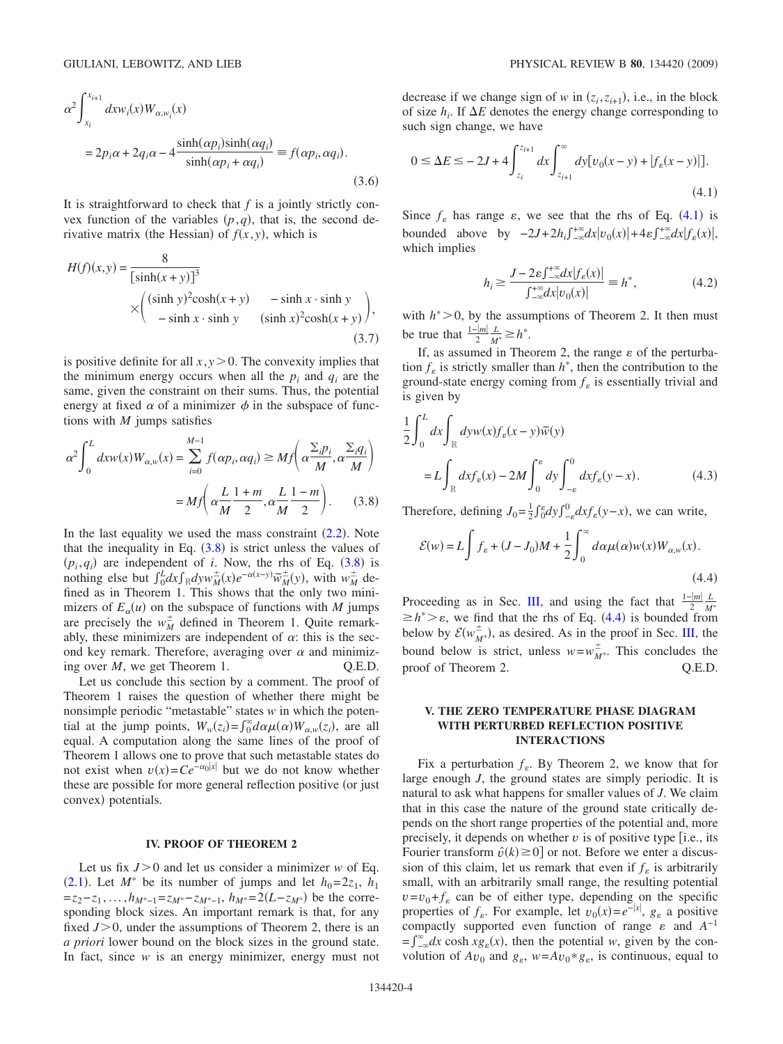$$
\alpha^2 \int_{x_i}^{x_{i+1}} dx w_i(x) W_{\alpha, w_i}(x)
$$
  
=  $2p_i \alpha + 2q_i \alpha - 4 \frac{\sinh(\alpha p_i) \sinh(\alpha q_i)}{\sinh(\alpha p_i + \alpha q_i)} = f(\alpha p_i, \alpha q_i).$  (3.6)

It is straightforward to check that *f* is a jointly strictly convex function of the variables  $(p, q)$ , that is, the second derivative matrix (the Hessian) of  $f(x, y)$ , which is

$$
H(f)(x,y) = \frac{8}{[\sinh(x+y)]^3}
$$
  
 
$$
\times \begin{pmatrix} (\sinh y)^2 \cosh(x+y) & -\sinh x \cdot \sinh y \\ -\sinh x \cdot \sinh y & (\sinh x)^2 \cosh(x+y) \end{pmatrix},
$$
 (3.7)

is positive definite for all  $x, y > 0$ . The convexity implies that the minimum energy occurs when all the  $p_i$  and  $q_i$  are the same, given the constraint on their sums. Thus, the potential energy at fixed  $\alpha$  of a minimizer  $\phi$  in the subspace of functions with *M* jumps satisfies

<span id="page-3-1"></span>
$$
\alpha^2 \int_0^L dx w(x) W_{\alpha,w}(x) = \sum_{i=0}^{M-1} f(\alpha p_i, \alpha q_i) \ge M f\left(\alpha \frac{\sum_i p_i}{M}, \alpha \frac{\sum_i q_i}{M}\right)
$$

$$
= M f\left(\alpha \frac{L}{M} \frac{1+m}{2}, \alpha \frac{L}{M} \frac{1-m}{2}\right). \tag{3.8}
$$

In the last equality we used the mass constraint  $(2.2)$  $(2.2)$  $(2.2)$ . Note that the inequality in Eq.  $(3.8)$  $(3.8)$  $(3.8)$  is strict unless the values of  $(p_i, q_i)$  are independent of *i*. Now, the rhs of Eq.  $(3.8)$  $(3.8)$  $(3.8)$  is nothing else but  $\int_0^L dx \int_R dy w_M^{\pm}(x) e^{-\alpha(x-y)} \widetilde{w}_M^{\pm}(y)$ , with  $w_M^{\pm}$  defined as in Theorem 1. This shows that the only two minimizers of  $E_\alpha(u)$  on the subspace of functions with *M* jumps are precisely the  $w_M^{\pm}$  defined in Theorem 1. Quite remarkably, these minimizers are independent of  $\alpha$ : this is the second key remark. Therefore, averaging over  $\alpha$  and minimizing over *M*, we get Theorem 1. Q.E.D.

Let us conclude this section by a comment. The proof of Theorem 1 raises the question of whether there might be nonsimple periodic "metastable" states *w* in which the potential at the jump points,  $W_w(z_i) = \int_0^\infty d\alpha \mu(\alpha) W_{\alpha,w}(z_i)$ , are all equal. A computation along the same lines of the proof of Theorem 1 allows one to prove that such metastable states do not exist when  $v(x) = Ce^{-\alpha_0|x|}$  but we do not know whether these are possible for more general reflection positive (or just convex) potentials.

#### **IV. PROOF OF THEOREM 2**

<span id="page-3-0"></span>Let us fix  $J>0$  and let us consider a minimizer *w* of Eq. ([2.1](#page-1-1)). Let  $M^*$  be its number of jumps and let  $h_0 = 2z_1$ ,  $h_1$  $=z_2-z_1, \ldots, h_{M^*-1}=z_{M^*-}z_{M^*-1}, h_{M^*}=2(L-z_{M^*})$  be the corresponding block sizes. An important remark is that, for any fixed  $J>0$ , under the assumptions of Theorem 2, there is an *a priori* lower bound on the block sizes in the ground state. In fact, since *w* is an energy minimizer, energy must not

decrease if we change sign of *w* in  $(z_i, z_{i+1})$ , i.e., in the block of size  $h_i$ . If  $\Delta E$  denotes the energy change corresponding to such sign change, we have

<span id="page-3-2"></span>
$$
0 \le \Delta E \le -2J + 4 \int_{z_i}^{z_{i+1}} dx \int_{z_{i+1}}^{\infty} dy [v_0(x - y) + |f_{\varepsilon}(x - y)|].
$$
\n(4.1)

Since  $f_{\varepsilon}$  has range  $\varepsilon$ , we see that the rhs of Eq. ([4.1](#page-3-2)) is bounded above by  $-2J+2h_i\int_{-\infty}^{+\infty} dx |v_0(x)|+4\varepsilon\int_{-\infty}^{+\infty} dx |f_{\varepsilon}(x)|$ , which implies

$$
h_i \ge \frac{J - 2\varepsilon \int_{-\infty}^{+\infty} dx |f_{\varepsilon}(x)|}{\int_{-\infty}^{+\infty} dx |v_0(x)|} = h^*,\tag{4.2}
$$

with  $h^*$  > 0, by the assumptions of Theorem 2. It then must be true that  $\frac{1-|m|}{2}$  $\frac{L}{M^*} \geq h^*$ .

If, as assumed in Theorem 2, the range  $\varepsilon$  of the perturbation  $f_{\varepsilon}$  is strictly smaller than  $h^*$ , then the contribution to the ground-state energy coming from  $f_{\varepsilon}$  is essentially trivial and is given by

$$
\frac{1}{2} \int_0^L dx \int_{\mathbb{R}} dy w(x) f_{\varepsilon}(x - y) \widetilde{w}(y)
$$
\n
$$
= L \int_{\mathbb{R}} dx f_{\varepsilon}(x) - 2M \int_0^{\varepsilon} dy \int_{-\varepsilon}^0 dx f_{\varepsilon}(y - x). \tag{4.3}
$$

Therefore, defining  $J_0 = \frac{1}{2} \int_0^{\epsilon} dy \int_{-\epsilon}^0 dx f_{\epsilon}(y-x)$ , we can write,

<span id="page-3-3"></span>
$$
\mathcal{E}(w) = L \int f_{\varepsilon} + (J - J_0)M + \frac{1}{2} \int_0^{\infty} d\alpha \mu(\alpha) w(x) W_{\alpha, w}(x).
$$
\n(4.4)

Proceeding as in Sec. [III,](#page-2-0) and using the fact that  $\frac{1-|m|}{2}$ Proceeding as in Sec. III, and using the fact that  $\frac{1-|m|}{2} \frac{L}{M^*} \ge h^* > \varepsilon$ , we find that the rhs of Eq. ([4.4](#page-3-3)) is bounded from below by  $\mathcal{E}(w_{M^*}^{\pm})$ , as desired. As in the proof in Sec. [III,](#page-2-0) the bound below is strict, unless  $w = w_{M^*}^{\pm}$ . This concludes the proof of Theorem 2. Q.E.D.

# **V. THE ZERO TEMPERATURE PHASE DIAGRAM WITH PERTURBED REFLECTION POSITIVE INTERACTIONS**

Fix a perturbation  $f_{\varepsilon}$ . By Theorem 2, we know that for large enough *J*, the ground states are simply periodic. It is natural to ask what happens for smaller values of *J*. We claim that in this case the nature of the ground state critically depends on the short range properties of the potential and, more precisely, it depends on whether  $v$  is of positive type  $[i.e.,$  its Fourier transform  $\hat{v}(k) \ge 0$  or not. Before we enter a discussion of this claim, let us remark that even if  $f_{\varepsilon}$  is arbitrarily small, with an arbitrarily small range, the resulting potential  $v = v_0 + f_\varepsilon$  can be of either type, depending on the specific properties of  $f_{\varepsilon}$ . For example, let  $v_0(x) = e^{-|x|}$ ,  $g_{\varepsilon}$  a positive compactly supported even function of range  $\varepsilon$  and  $A^{-1}$  $=f^{\infty}_{-\infty}dx$  cosh  $xg_{\varepsilon}(x)$ , then the potential *w*, given by the convolution of  $Av_0$  and  $g_{\varepsilon}$ ,  $w = Av_0 * g_{\varepsilon}$ , is continuous, equal to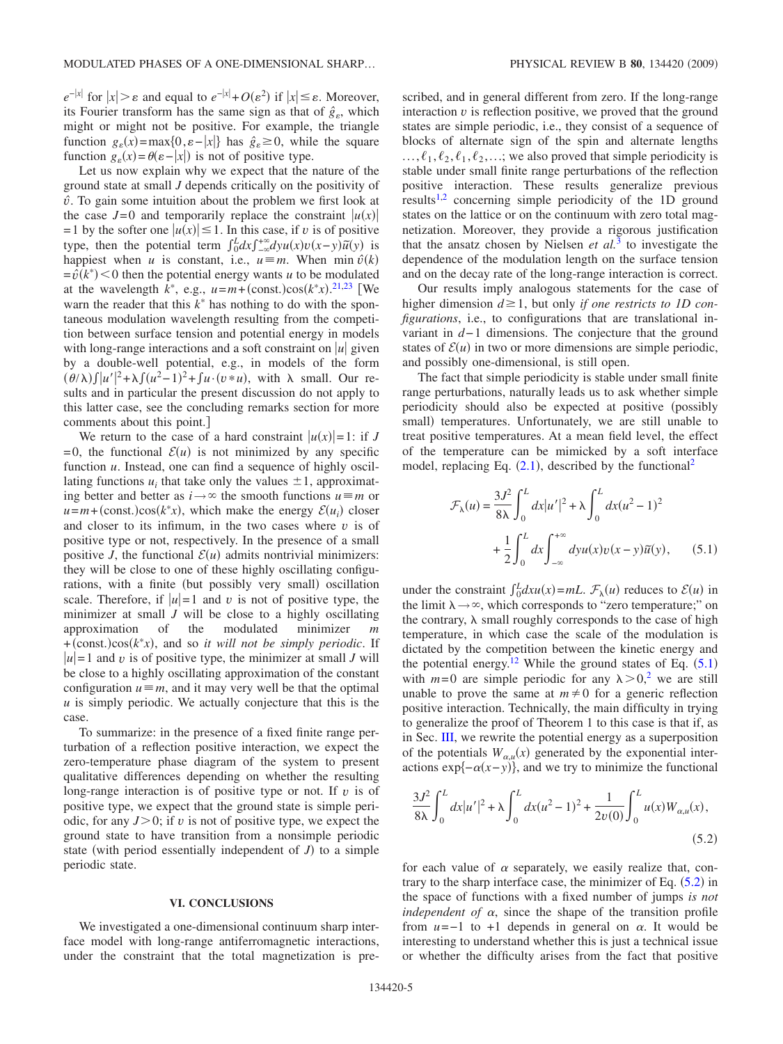$e^{-|x|}$  for  $|x| > \varepsilon$  and equal to  $e^{-|x|} + O(\varepsilon^2)$  if  $|x| \leq \varepsilon$ . Moreover, its Fourier transform has the same sign as that of  $\hat{g}_s$ , which might or might not be positive. For example, the triangle function  $g_{\varepsilon}(x) = \max\{0, \varepsilon - |x|\}$  has  $\hat{g}_{\varepsilon} \ge 0$ , while the square function  $g_{\varepsilon}(x) = \theta(\varepsilon - |x|)$  is not of positive type.

Let us now explain why we expect that the nature of the ground state at small *J* depends critically on the positivity of  $\hat{v}$ . To gain some intuition about the problem we first look at the case  $J=0$  and temporarily replace the constraint  $|u(x)|$  $= 1$  by the softer one  $|u(x)| \le 1$ . In this case, if *v* is of positive type, then the potential term  $\int_0^L dx \int_{-\infty}^{+\infty} dy u(x) v(x-y) \tilde{u}(y)$  is happiest when *u* is constant, i.e.,  $u \equiv m$ . When min  $\hat{v}(k)$  $= \hat{v}(k^*)$  < 0 then the potential energy wants *u* to be modulated at the wavelength  $k^*$ , e.g.,  $u = m + (\text{const.})\cos(k^*x)$ .<sup>[21](#page-5-22)[,23](#page-5-17)</sup> [We warn the reader that this  $k^*$  has nothing to do with the spontaneous modulation wavelength resulting from the competition between surface tension and potential energy in models with long-range interactions and a soft constraint on  $|u|$  given by a double-well potential, e.g., in models of the form  $(\theta/\lambda) \int |u'|^2 + \lambda \int (u^2 - 1)^2 + \int u \cdot (v * u)$ , with  $\lambda$  small. Our results and in particular the present discussion do not apply to this latter case, see the concluding remarks section for more comments about this point.

We return to the case of a hard constraint  $|u(x)| = 1$ : if *J*  $= 0$ , the functional  $\mathcal{E}(u)$  is not minimized by any specific function *u*. Instead, one can find a sequence of highly oscillating functions  $u_i$ ; that take only the values  $\pm 1$ , approximating better and better as  $i \rightarrow \infty$  the smooth functions  $u \equiv m$  or  $u=m+(\text{const.})\cos(k^*x)$ , which make the energy  $\mathcal{E}(u_i)$  closer and closer to its infimum, in the two cases where  $\nu$  is of positive type or not, respectively. In the presence of a small positive *J*, the functional  $\mathcal{E}(u)$  admits nontrivial minimizers: they will be close to one of these highly oscillating configurations, with a finite (but possibly very small) oscillation scale. Therefore, if  $|u|=1$  and *v* is not of positive type, the minimizer at small *J* will be close to a highly oscillating approximation of the modulated minimizer *m*  $+(const.)\cos(k^*x)$ , and so *it will not be simply periodic*. If  $|u|=1$  and *v* is of positive type, the minimizer at small *J* will be close to a highly oscillating approximation of the constant configuration  $u \equiv m$ , and it may very well be that the optimal *u* is simply periodic. We actually conjecture that this is the case.

To summarize: in the presence of a fixed finite range perturbation of a reflection positive interaction, we expect the zero-temperature phase diagram of the system to present qualitative differences depending on whether the resulting long-range interaction is of positive type or not. If *v* is of positive type, we expect that the ground state is simple periodic, for any  $J>0$ ; if *v* is not of positive type, we expect the ground state to have transition from a nonsimple periodic state (with period essentially independent of  $J$ ) to a simple periodic state.

#### **VI. CONCLUSIONS**

<span id="page-4-0"></span>We investigated a one-dimensional continuum sharp interface model with long-range antiferromagnetic interactions, under the constraint that the total magnetization is prescribed, and in general different from zero. If the long-range interaction  $\nu$  is reflection positive, we proved that the ground states are simple periodic, i.e., they consist of a sequence of blocks of alternate sign of the spin and alternate lengths  $..., \ell_1, \ell_2, \ell_1, \ell_2, ...$ ; we also proved that simple periodicity is stable under small finite range perturbations of the reflection positive interaction. These results generalize previous results<sup>1[,2](#page-5-1)</sup> concerning simple periodicity of the 1D ground states on the lattice or on the continuum with zero total magnetization. Moreover, they provide a rigorous justification that the ansatz chosen by Nielsen *et al.*[3](#page-5-2) to investigate the dependence of the modulation length on the surface tension and on the decay rate of the long-range interaction is correct.

Our results imply analogous statements for the case of higher dimension  $d \geq 1$ , but only *if one restricts to 1D configurations*, i.e., to configurations that are translational invariant in *d*− 1 dimensions. The conjecture that the ground states of  $\mathcal{E}(u)$  in two or more dimensions are simple periodic, and possibly one-dimensional, is still open.

The fact that simple periodicity is stable under small finite range perturbations, naturally leads us to ask whether simple periodicity should also be expected at positive (possibly small) temperatures. Unfortunately, we are still unable to treat positive temperatures. At a mean field level, the effect of the temperature can be mimicked by a soft interface model, replacing Eq.  $(2.1)$  $(2.1)$  $(2.1)$ , described by the functional<sup>2</sup>

<span id="page-4-1"></span>
$$
\mathcal{F}_{\lambda}(u) = \frac{3J^2}{8\lambda} \int_0^L dx |u'|^2 + \lambda \int_0^L dx (u^2 - 1)^2
$$
  
+ 
$$
\frac{1}{2} \int_0^L dx \int_{-\infty}^{+\infty} dy u(x) v(x - y) \tilde{u}(y), \qquad (5.1)
$$

under the constraint  $\int_0^L dx u(x) = mL$ .  $\mathcal{F}_\lambda(u)$  reduces to  $\mathcal{E}(u)$  in the limit  $\lambda \rightarrow \infty$ , which corresponds to "zero temperature;" on the contrary,  $\lambda$  small roughly corresponds to the case of high temperature, in which case the scale of the modulation is dictated by the competition between the kinetic energy and the potential energy.<sup>12</sup> While the ground states of Eq.  $(5.1)$  $(5.1)$  $(5.1)$ with  $m=0$  are simple periodic for any  $\lambda > 0$ , we are still unable to prove the same at  $m \neq 0$  for a generic reflection positive interaction. Technically, the main difficulty in trying to generalize the proof of Theorem 1 to this case is that if, as in Sec. [III,](#page-2-0) we rewrite the potential energy as a superposition of the potentials  $W_{\alpha,\mu}(x)$  generated by the exponential interactions exp $\{-\alpha(x-y)\}\$ , and we try to minimize the functional

<span id="page-4-2"></span>
$$
\frac{3J^2}{8\lambda} \int_0^L dx |u'|^2 + \lambda \int_0^L dx (u^2 - 1)^2 + \frac{1}{2v(0)} \int_0^L u(x) W_{\alpha, u}(x),
$$
\n(5.2)

for each value of  $\alpha$  separately, we easily realize that, contrary to the sharp interface case, the minimizer of Eq.  $(5.2)$  $(5.2)$  $(5.2)$  in the space of functions with a fixed number of jumps *is not independent of*  $\alpha$ , since the shape of the transition profile from  $u=-1$  to +1 depends in general on  $\alpha$ . It would be interesting to understand whether this is just a technical issue or whether the difficulty arises from the fact that positive